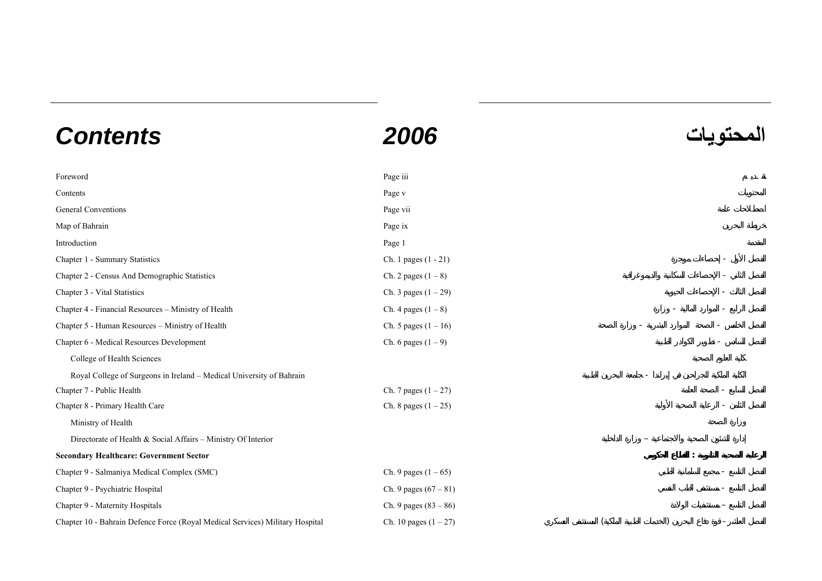## **المحتويات** *2006 Contents*

Foreword Page iii **Contents** Page v General Conventions **Page vii Page vii** Map of Bahrain Page ix Introduction Page 1 Chapter 1 - Summary Statistics Ch. 1 pages (1 - 21) Chapter 2 - Census And Demographic Statistics Ch. 2 pages (1 – 8) Chapter 3 - Vital Statistics Ch. 3 pages  $(1 - 29)$ Chapter 4 - Financial Resources – Ministry of Health Ch. 4 pages  $(1 - 8)$ Chapter 5 - Human Resources – Ministry of Health Ch. 5 pages  $(1 - 16)$ Chapter 6 - Medical Resources Development Ch. 6 pages (1 – 9) College of Health Sciences Royal College of Surgeons in Ireland - Medical University of Bahrain Chapter 7 - Public Health Ch. 7 pages  $(1 - 27)$ Chapter 8 - Primary Health Care Chapter 8 - Primary Health Care Ch. 8 pages (1 – 25) Ministry of Health Directorate of Health & Social Affairs – Ministry Of Interior – **Secondary Healthcare: Government Sector :**  Chapter 9 - Salmaniya Medical Complex (SMC) Chapter 9 - Salmaniya Medical Complex (SMC)  $\sim$  Ch. 9 pages (1 – 65) Chapter 9 - Psychiatric Hospital Ch. 9 pages (67 – 81) Chapter 9 - Maternity Hospitals Ch. 9 pages (83 – 86) Chapter 10 - Bahrain Defence Force (Royal Medical Services) Military Hospital Ch. 10 pages  $(1 - 27)$  ()